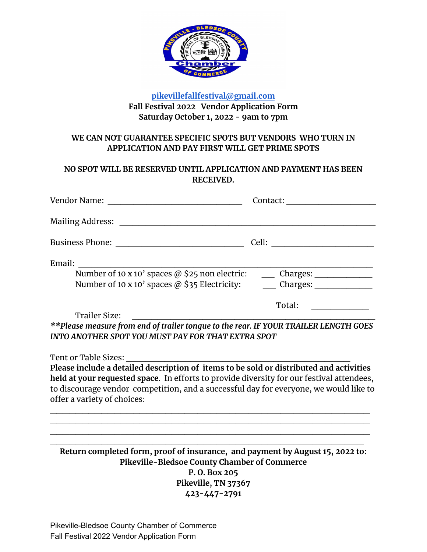

### **[pikevillefallfestival@gmail.com](mailto:pikevillefallfestival@gmail.com) Fall Festival 2022 Vendor Application Form Saturday October 1, 2022 - 9am to 7pm**

### **WE CAN NOT GUARANTEE SPECIFIC SPOTS BUT VENDORS WHO TURN IN APPLICATION AND PAY FIRST WILL GET PRIME SPOTS**

# **NO SPOT WILL BE RESERVED UNTIL APPLICATION AND PAYMENT HAS BEEN RECEIVED.**

| Vendor Name:                                                                                              | Contact:                    |
|-----------------------------------------------------------------------------------------------------------|-----------------------------|
| <b>Mailing Address:</b>                                                                                   |                             |
| <b>Business Phone:</b>                                                                                    | Cell:                       |
| Email:<br>Number of 10 x 10' spaces @ \$25 non electric:<br>Number of 10 x 10' spaces @ \$35 Electricity: | Charges: $\_\_$<br>Charges: |
|                                                                                                           | Total:                      |

Trailer Size: *\*\*Please measure from end of trailer tongue to the rear. IF YOUR TRAILER LENGTH GOES INTO ANOTHER SPOT YOU MUST PAY FOR THAT EXTRA SPOT*

Tent or Table Sizes:

**Please include a detailed description of items to be sold or distributed and activities held at your requested space**. In efforts to provide diversity for our festival attendees, to discourage vendor competition, and a successful day for everyone, we would like to offer a variety of choices:

\_\_\_\_\_\_\_\_\_\_\_\_\_\_\_\_\_\_\_\_\_\_\_\_\_\_\_\_\_\_\_\_\_\_\_\_\_\_\_\_\_\_\_\_\_\_\_\_\_\_ \_\_\_\_\_\_\_\_\_\_\_\_\_\_\_\_\_\_\_\_\_\_\_\_\_\_\_\_\_\_\_\_\_\_\_\_\_\_\_\_\_\_\_\_\_\_\_\_\_\_ \_\_\_\_\_\_\_\_\_\_\_\_\_\_\_\_\_\_\_\_\_\_\_\_\_\_\_\_\_\_\_\_\_\_\_\_\_\_\_\_\_\_\_\_\_\_\_\_\_\_

 $\mathcal{L}_\mathcal{L}$  , and the contribution of the contribution of the contribution of the contribution of the contribution of the contribution of the contribution of the contribution of the contribution of the contribution of **Return completed form, proof of insurance, and payment by August 15, 2022 to: Pikeville-Bledsoe County Chamber of Commerce P. O. Box 205 Pikeville, TN 37367 423-447-2791**

Pikeville-Bledsoe County Chamber of Commerce Fall Festival 2022 Vendor Application Form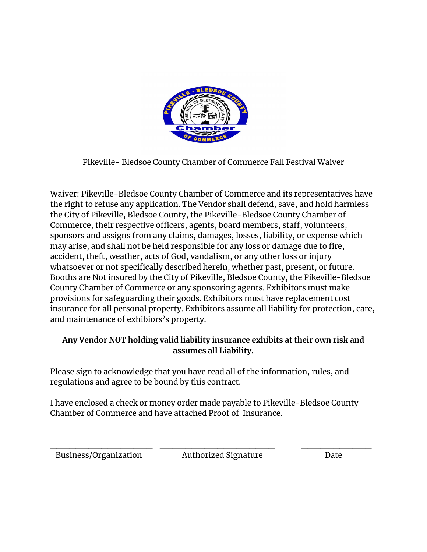

Pikeville- Bledsoe County Chamber of Commerce Fall Festival Waiver

Waiver: Pikeville-Bledsoe County Chamber of Commerce and its representatives have the right to refuse any application. The Vendor shall defend, save, and hold harmless the City of Pikeville, Bledsoe County, the Pikeville-Bledsoe County Chamber of Commerce, their respective officers, agents, board members, staff, volunteers, sponsors and assigns from any claims, damages, losses, liability, or expense which may arise, and shall not be held responsible for any loss or damage due to fire, accident, theft, weather, acts of God, vandalism, or any other loss or injury whatsoever or not specifically described herein, whether past, present, or future. Booths are Not insured by the City of Pikeville, Bledsoe County, the Pikeville-Bledsoe County Chamber of Commerce or any sponsoring agents. Exhibitors must make provisions for safeguarding their goods. Exhibitors must have replacement cost insurance for all personal property. Exhibitors assume all liability for protection, care, and maintenance of exhibiors's property.

# **Any Vendor NOT holding valid liability insurance exhibits at their own risk and assumes all Liability.**

Please sign to acknowledge that you have read all of the information, rules, and regulations and agree to be bound by this contract.

I have enclosed a check or money order made payable to Pikeville-Bledsoe County Chamber of Commerce and have attached Proof of Insurance.

Business/Organization Authorized Signature Date

 $\frac{1}{2}$  ,  $\frac{1}{2}$  ,  $\frac{1}{2}$  ,  $\frac{1}{2}$  ,  $\frac{1}{2}$  ,  $\frac{1}{2}$  ,  $\frac{1}{2}$  ,  $\frac{1}{2}$  ,  $\frac{1}{2}$  ,  $\frac{1}{2}$  ,  $\frac{1}{2}$  ,  $\frac{1}{2}$  ,  $\frac{1}{2}$  ,  $\frac{1}{2}$  ,  $\frac{1}{2}$  ,  $\frac{1}{2}$  ,  $\frac{1}{2}$  ,  $\frac{1}{2}$  ,  $\frac{1$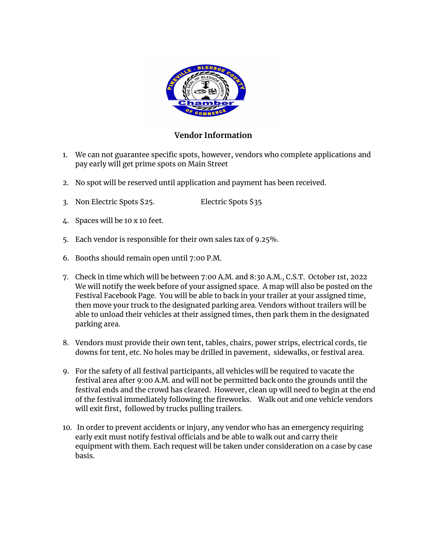

#### **Vendor Information**

- 1. We can not guarantee specific spots, however, vendors who complete applications and pay early will get prime spots on Main Street
- 2. No spot will be reserved until application and payment has been received.
- 3. Non Electric Spots \$25. Electric Spots \$35
- 4. Spaces will be 10 x 10 feet.
- 5. Each vendor is responsible for their own sales tax of 9.25%.
- 6. Booths should remain open until 7:00 P.M.
- 7. Check in time which will be between 7:00 A.M. and 8:30 A.M., C.S.T. October 1st, 2022 We will notify the week before of your assigned space. A map will also be posted on the Festival Facebook Page. You will be able to back in your trailer at your assigned time, then move your truck to the designated parking area. Vendors without trailers will be able to unload their vehicles at their assigned times, then park them in the designated parking area.
- 8. Vendors must provide their own tent, tables, chairs, power strips, electrical cords, tie downs for tent, etc. No holes may be drilled in pavement, sidewalks, or festival area.
- 9. For the safety of all festival participants, all vehicles will be required to vacate the festival area after 9:00 A.M. and will not be permitted back onto the grounds until the festival ends and the crowd has cleared. However, clean up will need to begin at the end of the festival immediately following the fireworks. Walk out and one vehicle vendors will exit first, followed by trucks pulling trailers.
- 10. In order to prevent accidents or injury, any vendor who has an emergency requiring early exit must notify festival officials and be able to walk out and carry their equipment with them. Each request will be taken under consideration on a case by case basis.